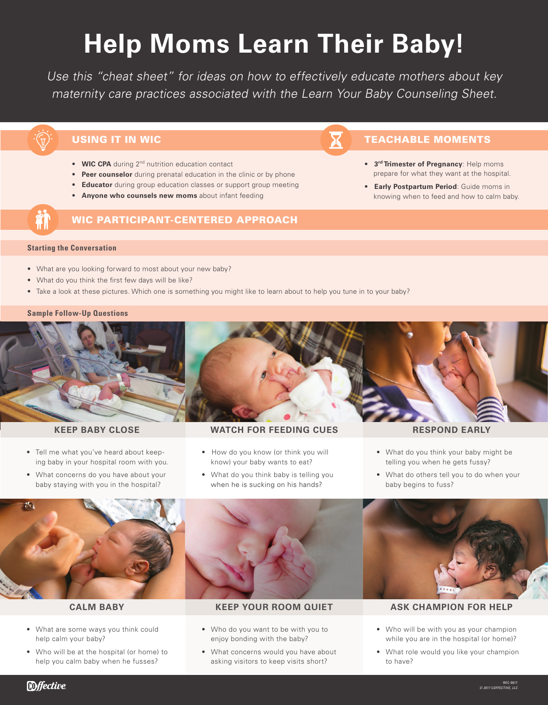# **Help Moms Learn Their Baby!**

Use this "cheat sheet" for ideas on how to effectively educate mothers about key maternity care practices associated with the Learn Your Baby Counseling Sheet.

- **WIC CPA** during 2<sup>nd</sup> nutrition education contact
- **Peer counselor** during prenatal education in the clinic or by phone
- **Educator** during group education classes or support group meeting
- **Anyone who counsels new moms** about infant feeding

# WIC PARTICIPANT-CENTERED APPROACH

# USING IT IN WICH EXECUTE THE SERVICE SERVICE SERVICE SERVICE SERVICE SERVICE SERVICE SERVICE SERVICE SERVICE S

- **3rd Trimester of Pregnancy**: Help moms prepare for what they want at the hospital.
- **Early Postpartum Period**: Guide moms in knowing when to feed and how to calm baby.

### **Starting the Conversation**

- What are you looking forward to most about your new baby?
- What do you think the first few days will be like?
- Take a look at these pictures. Which one is something you might like to learn about to help you tune in to your baby?

## **Sample Follow-Up Questions**



- Tell me what you've heard about keep ing baby in your hospital room with you.
- What concerns do you have about your baby staying with you in the hospital?

# **KEEP BABY CLOSE WATCH FOR FEEDING CUES RESPOND EARLY**

- How do you know (or think you will know) your baby wants to eat?
- What do you think baby is telling you when he is sucking on his hands?

- What do you think your baby might be telling you when he gets fussy?
- What do others tell you to do when your baby begins to fuss?



- What are some ways you think could help calm your baby?
- Who will be at the hospital (or home) to help you calm baby when he fusses?



- Who do you want to be with you to enjoy bonding with the baby?
- What concerns would you have about asking visitors to keep visits short?



# **CALM BABY KEEP YOUR ROOM QUIET ASK CHAMPION FOR HELP**

- Who will be with you as your champion while you are in the hospital (or home)?
- What role would you like your champion to have?